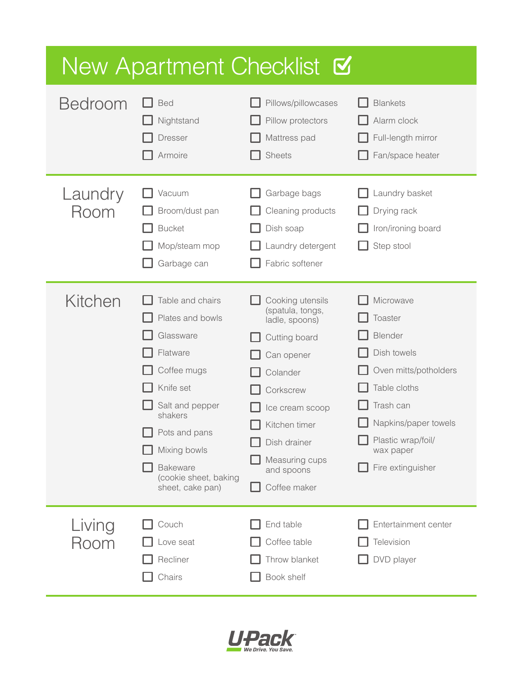| New Apartment Checklist <b>V</b> |                                                                                                                                                                                                                          |                                                                                                                                                                                                                    |                                                                                                                                                                                      |  |
|----------------------------------|--------------------------------------------------------------------------------------------------------------------------------------------------------------------------------------------------------------------------|--------------------------------------------------------------------------------------------------------------------------------------------------------------------------------------------------------------------|--------------------------------------------------------------------------------------------------------------------------------------------------------------------------------------|--|
| <b>Bedroom</b>                   | <b>Bed</b><br>Nightstand<br><b>Dresser</b><br>Armoire                                                                                                                                                                    | Pillows/pillowcases<br>Pillow protectors<br>Mattress pad<br><b>Sheets</b>                                                                                                                                          | <b>Blankets</b><br>Alarm clock<br>Full-length mirror<br>Fan/space heater                                                                                                             |  |
| Laundry<br>Room                  | Vacuum<br>Broom/dust pan<br><b>Bucket</b><br>Mop/steam mop<br>Garbage can                                                                                                                                                | Garbage bags<br>Cleaning products<br>Dish soap<br>Laundry detergent<br>Fabric softener                                                                                                                             | Laundry basket<br>Drying rack<br>Iron/ironing board<br>Step stool                                                                                                                    |  |
| Kitchen                          | Table and chairs<br>Plates and bowls<br>Glassware<br>Flatware<br>Coffee mugs<br>Knife set<br>Salt and pepper<br>shakers<br>Pots and pans<br>Mixing bowls<br><b>Bakeware</b><br>(cookie sheet, baking<br>sheet, cake pan) | Cooking utensils<br>(spatula, tongs,<br>ladle, spoons)<br>Cutting board<br>Can opener<br>Colander<br>Corkscrew<br>Ice cream scoop<br>Kitchen timer<br>Dish drainer<br>Measuring cups<br>and spoons<br>Coffee maker | Microwave<br>Toaster<br>Blender<br>Dish towels<br>Oven mitts/potholders<br>Table cloths<br>Trash can<br>Napkins/paper towels<br>Plastic wrap/foil/<br>wax paper<br>Fire extinguisher |  |
| Living<br>Room                   | Couch<br>Love seat<br>Recliner<br>Chairs                                                                                                                                                                                 | End table<br>Coffee table<br>Throw blanket<br>Book shelf                                                                                                                                                           | Entertainment center<br>Television<br>DVD player                                                                                                                                     |  |